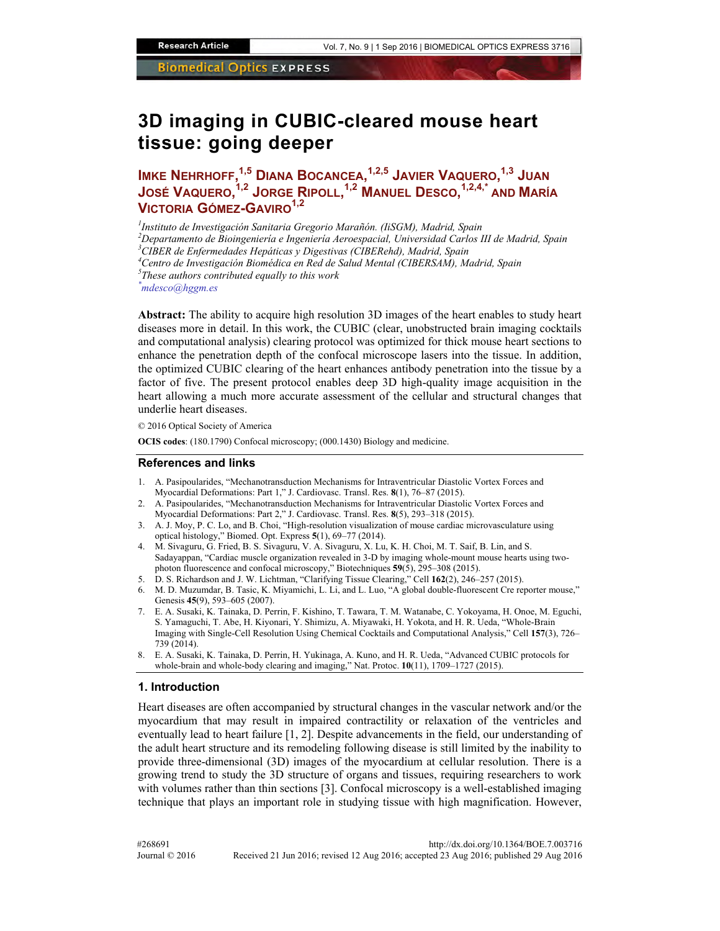# **3D imaging in CUBIC-cleared mouse heart tissue: going deeper**

**IMKE NEHRHOFF, 1,5 DIANA BOCANCEA, 1,2,5 JAVIER VAQUERO, 1,3 JUAN JOSÉ VAQUERO, 1,2 JORGE RIPOLL, 1,2 MANUEL DESCO, 1,2,4,\* AND MARÍA VICTORIA GÓMEZ-GAVIRO1,2**

*1 Instituto de Investigación Sanitaria Gregorio Marañón. (IiSGM), Madrid, Spain 2 Departamento de Bioingeniería e Ingeniería Aeroespacial, Universidad Carlos III de Madrid, Spain 3 CIBER de Enfermedades Hepáticas y Digestivas (CIBERehd), Madrid, Spain*  <sup>4</sup> Centro de Investigación Biomédica en Red de Salud Mental (CIBERSAM), Madrid, Spain<br><sup>5</sup>These authors contributed cauglly to this work *These authors contributed equally to this work \* mdesco@hggm.es* 

**Abstract:** The ability to acquire high resolution 3D images of the heart enables to study heart diseases more in detail. In this work, the CUBIC (clear, unobstructed brain imaging cocktails and computational analysis) clearing protocol was optimized for thick mouse heart sections to enhance the penetration depth of the confocal microscope lasers into the tissue. In addition, the optimized CUBIC clearing of the heart enhances antibody penetration into the tissue by a factor of five. The present protocol enables deep 3D high-quality image acquisition in the heart allowing a much more accurate assessment of the cellular and structural changes that underlie heart diseases.

© 2016 Optical Society of America

**OCIS codes**: (180.1790) Confocal microscopy; (000.1430) Biology and medicine.

#### **References and links**

- 1. A. Pasipoularides, "Mechanotransduction Mechanisms for Intraventricular Diastolic Vortex Forces and Myocardial Deformations: Part 1," J. Cardiovasc. Transl. Res. **8**(1), 76–87 (2015).
- 2. A. Pasipoularides, "Mechanotransduction Mechanisms for Intraventricular Diastolic Vortex Forces and Myocardial Deformations: Part 2," J. Cardiovasc. Transl. Res. **8**(5), 293–318 (2015).
- 3. A. J. Moy, P. C. Lo, and B. Choi, "High-resolution visualization of mouse cardiac microvasculature using optical histology," Biomed. Opt. Express **5**(1), 69–77 (2014).
- 4. M. Sivaguru, G. Fried, B. S. Sivaguru, V. A. Sivaguru, X. Lu, K. H. Choi, M. T. Saif, B. Lin, and S. Sadayappan, "Cardiac muscle organization revealed in 3-D by imaging whole-mount mouse hearts using twophoton fluorescence and confocal microscopy," Biotechniques **59**(5), 295–308 (2015).
- 5. D. S. Richardson and J. W. Lichtman, "Clarifying Tissue Clearing," Cell **162**(2), 246–257 (2015).
- 6. M. D. Muzumdar, B. Tasic, K. Miyamichi, L. Li, and L. Luo, "A global double-fluorescent Cre reporter mouse," Genesis **45**(9), 593–605 (2007).
- 7. E. A. Susaki, K. Tainaka, D. Perrin, F. Kishino, T. Tawara, T. M. Watanabe, C. Yokoyama, H. Onoe, M. Eguchi, S. Yamaguchi, T. Abe, H. Kiyonari, Y. Shimizu, A. Miyawaki, H. Yokota, and H. R. Ueda, "Whole-Brain Imaging with Single-Cell Resolution Using Chemical Cocktails and Computational Analysis," Cell **157**(3), 726– 739 (2014).
- 8. E. A. Susaki, K. Tainaka, D. Perrin, H. Yukinaga, A. Kuno, and H. R. Ueda, "Advanced CUBIC protocols for whole-brain and whole-body clearing and imaging," Nat. Protoc. **10**(11), 1709–1727 (2015).

#### **1. Introduction**

Heart diseases are often accompanied by structural changes in the vascular network and/or the myocardium that may result in impaired contractility or relaxation of the ventricles and eventually lead to heart failure [1, 2]. Despite advancements in the field, our understanding of the adult heart structure and its remodeling following disease is still limited by the inability to provide three-dimensional (3D) images of the myocardium at cellular resolution. There is a growing trend to study the 3D structure of organs and tissues, requiring researchers to work with volumes rather than thin sections [3]. Confocal microscopy is a well-established imaging technique that plays an important role in studying tissue with high magnification. However,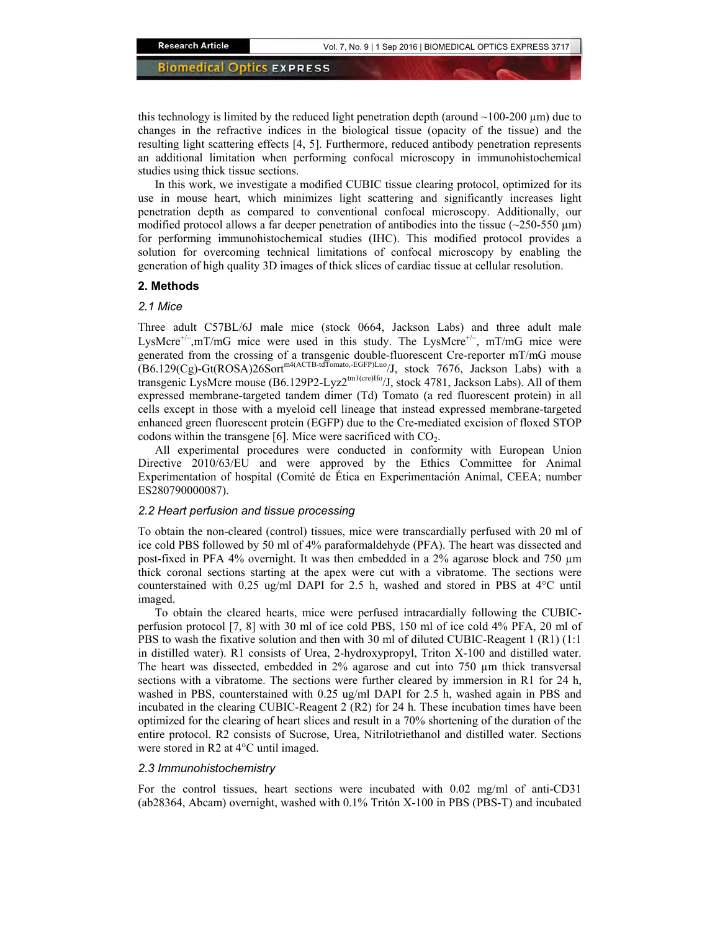this technology is limited by the reduced light penetration depth (around  $\sim$ 100-200  $\mu$ m) due to changes in the refractive indices in the biological tissue (opacity of the tissue) and the resulting light scattering effects [4, 5]. Furthermore, reduced antibody penetration represents an additional limitation when performing confocal microscopy in immunohistochemical studies using thick tissue sections.

In this work, we investigate a modified CUBIC tissue clearing protocol, optimized for its use in mouse heart, which minimizes light scattering and significantly increases light penetration depth as compared to conventional confocal microscopy. Additionally, our modified protocol allows a far deeper penetration of antibodies into the tissue ( $\sim$ 250-550  $\mu$ m) for performing immunohistochemical studies (IHC). This modified protocol provides a solution for overcoming technical limitations of confocal microscopy by enabling the generation of high quality 3D images of thick slices of cardiac tissue at cellular resolution.

### **2. Methods**

#### *2.1 Mice*

Three adult C57BL/6J male mice (stock 0664, Jackson Labs) and three adult male LysMcre<sup>+/-</sup>,mT/mG mice were used in this study. The LysMcre<sup>+/-</sup>, mT/mG mice were generated from the crossing of a transgenic double-fluorescent Cre-reporter mT/mG mouse  $(B6.129(Cg) - Gt(ROSA)26Sort^{m4(ACTB-tdTomato,-EGFP)Luo}/J$ , stock 7676, Jackson Labs) with a transgenic LysMcre mouse (B6.129P2-Lyz2<sup>tm1(cre)Ifo</sup>/J, stock 4781, Jackson Labs). All of them expressed membrane-targeted tandem dimer (Td) Tomato (a red fluorescent protein) in all cells except in those with a myeloid cell lineage that instead expressed membrane-targeted enhanced green fluorescent protein (EGFP) due to the Cre-mediated excision of floxed STOP codons within the transgene [6]. Mice were sacrificed with  $CO<sub>2</sub>$ .

All experimental procedures were conducted in conformity with European Union Directive 2010/63/EU and were approved by the Ethics Committee for Animal Experimentation of hospital (Comité de Ética en Experimentación Animal, CEEA; number ES280790000087).

### *2.2 Heart perfusion and tissue processing*

To obtain the non-cleared (control) tissues, mice were transcardially perfused with 20 ml of ice cold PBS followed by 50 ml of 4% paraformaldehyde (PFA). The heart was dissected and post-fixed in PFA 4% overnight. It was then embedded in a 2% agarose block and 750 µm thick coronal sections starting at the apex were cut with a vibratome. The sections were counterstained with 0.25 ug/ml DAPI for 2.5 h, washed and stored in PBS at 4°C until imaged.

To obtain the cleared hearts, mice were perfused intracardially following the CUBICperfusion protocol [7, 8] with 30 ml of ice cold PBS, 150 ml of ice cold 4% PFA, 20 ml of PBS to wash the fixative solution and then with 30 ml of diluted CUBIC-Reagent 1 (R1) (1:1 in distilled water). R1 consists of Urea, 2-hydroxypropyl, Triton X-100 and distilled water. The heart was dissected, embedded in  $2\%$  agarose and cut into  $750 \mu m$  thick transversal sections with a vibratome. The sections were further cleared by immersion in R1 for 24 h, washed in PBS, counterstained with 0.25 ug/ml DAPI for 2.5 h, washed again in PBS and incubated in the clearing CUBIC-Reagent 2 (R2) for 24 h. These incubation times have been optimized for the clearing of heart slices and result in a 70% shortening of the duration of the entire protocol. R2 consists of Sucrose, Urea, Nitrilotriethanol and distilled water. Sections were stored in R2 at 4°C until imaged.

#### *2.3 Immunohistochemistry*

For the control tissues, heart sections were incubated with 0.02 mg/ml of anti-CD31 (ab28364, Abcam) overnight, washed with 0.1% Tritón X-100 in PBS (PBS-T) and incubated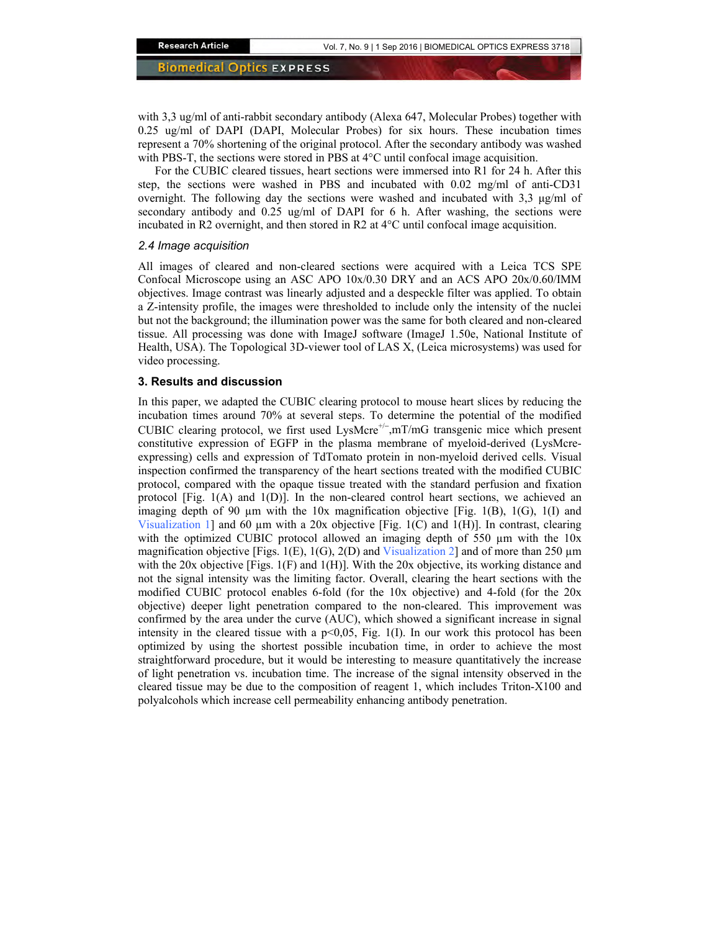with 3,3 ug/ml of anti-rabbit secondary antibody (Alexa 647, Molecular Probes) together with 0.25 ug/ml of DAPI (DAPI, Molecular Probes) for six hours. These incubation times represent a 70% shortening of the original protocol. After the secondary antibody was washed with PBS-T, the sections were stored in PBS at  $4^{\circ}$ C until confocal image acquisition.

For the CUBIC cleared tissues, heart sections were immersed into R1 for 24 h. After this step, the sections were washed in PBS and incubated with 0.02 mg/ml of anti-CD31 overnight. The following day the sections were washed and incubated with  $3.3 \mu g/ml$  of secondary antibody and 0.25 ug/ml of DAPI for 6 h. After washing, the sections were incubated in R2 overnight, and then stored in R2 at 4°C until confocal image acquisition.

#### *2.4 Image acquisition*

All images of cleared and non-cleared sections were acquired with a Leica TCS SPE Confocal Microscope using an ASC APO 10x/0.30 DRY and an ACS APO 20x/0.60/IMM objectives. Image contrast was linearly adjusted and a despeckle filter was applied. To obtain a Z-intensity profile, the images were thresholded to include only the intensity of the nuclei but not the background; the illumination power was the same for both cleared and non-cleared tissue. All processing was done with ImageJ software (ImageJ 1.50e, National Institute of Health, USA). The Topological 3D-viewer tool of LAS X, (Leica microsystems) was used for video processing.

#### **3. Results and discussion**

In this paper, we adapted the CUBIC clearing protocol to mouse heart slices by reducing the incubation times around 70% at several steps. To determine the potential of the modified CUBIC clearing protocol, we first used LysMcre<sup>+/-</sup>,mT/mG transgenic mice which present constitutive expression of EGFP in the plasma membrane of myeloid-derived (LysMcreexpressing) cells and expression of TdTomato protein in non-myeloid derived cells. Visual inspection confirmed the transparency of the heart sections treated with the modified CUBIC protocol, compared with the opaque tissue treated with the standard perfusion and fixation protocol [Fig. 1(A) and 1(D)]. In the non-cleared control heart sections, we achieved an imaging depth of 90  $\mu$ m with the 10x magnification objective [Fig. 1(B), 1(G), 1(I) and [Visualization 1\]](https://www.osapublishing.org/boe/viewmedia.cfm?uri=boe-7-9-3716&seq=v001) and 60  $\mu$ m with a 20x objective [Fig. 1(C) and 1(H)]. In contrast, clearing with the optimized CUBIC protocol allowed an imaging depth of 550  $\mu$ m with the 10x magnification objective [Figs. 1(E), 1(G), 2(D) and [Visualization 2\]](https://www.osapublishing.org/boe/viewmedia.cfm?uri=boe-7-9-3716&seq=v002) and of more than 250  $\mu$ m with the 20x objective [Figs.  $1(F)$  and  $1(H)$ ]. With the 20x objective, its working distance and not the signal intensity was the limiting factor. Overall, clearing the heart sections with the modified CUBIC protocol enables 6-fold (for the 10x objective) and 4-fold (for the 20x objective) deeper light penetration compared to the non-cleared. This improvement was confirmed by the area under the curve (AUC), which showed a significant increase in signal intensity in the cleared tissue with a  $p<0.05$ , Fig. 1(I). In our work this protocol has been optimized by using the shortest possible incubation time, in order to achieve the most straightforward procedure, but it would be interesting to measure quantitatively the increase of light penetration vs. incubation time. The increase of the signal intensity observed in the cleared tissue may be due to the composition of reagent 1, which includes Triton-X100 and polyalcohols which increase cell permeability enhancing antibody penetration.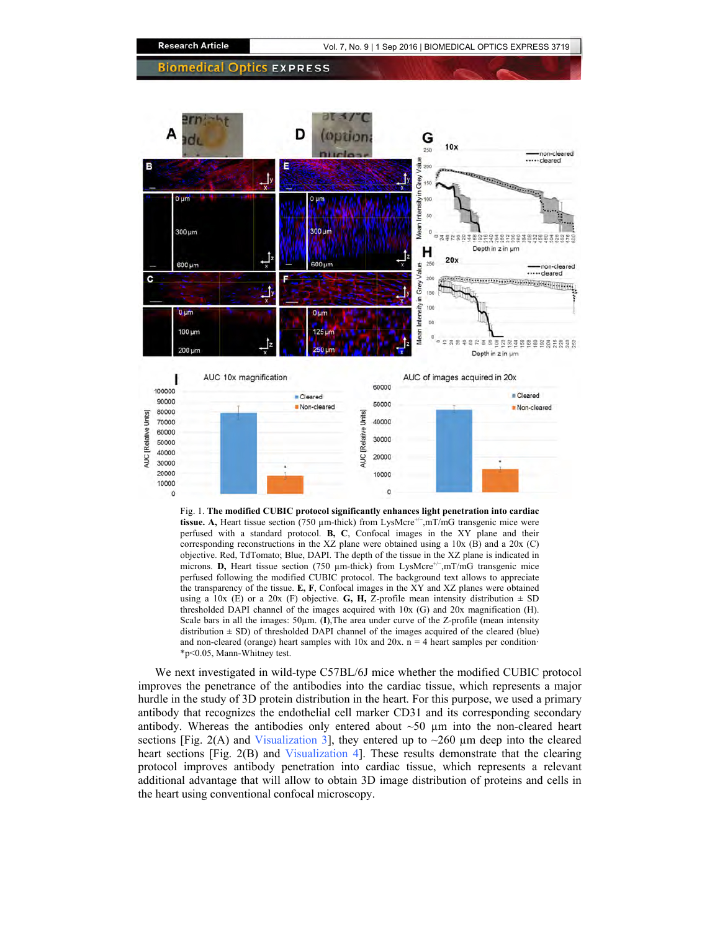

Fig. 1. **The modified CUBIC protocol significantly enhances light penetration into cardiac**  tissue. A, Heart tissue section (750 μm-thick) from LysMcre<sup>+/-</sup>,mT/mG transgenic mice were perfused with a standard protocol. **B, C**, Confocal images in the XY plane and their corresponding reconstructions in the XZ plane were obtained using a 10x (B) and a 20x (C) objective. Red, TdTomato; Blue, DAPI. The depth of the tissue in the XZ plane is indicated in microns. **D**, Heart tissue section (750 μm-thick) from LysMcre<sup>+/−</sup>,mT/mG transgenic mice perfused following the modified CUBIC protocol. The background text allows to appreciate the transparency of the tissue. **E, F**, Confocal images in the XY and XZ planes were obtained using a 10x (E) or a 20x (F) objective. **G, H,** Z-profile mean intensity distribution  $\pm$  SD thresholded DAPI channel of the images acquired with 10x (G) and 20x magnification (H). Scale bars in all the images: 50µm. (**I**), The area under curve of the Z-profile (mean intensity distribution  $\pm$  SD) of thresholded DAPI channel of the images acquired of the cleared (blue) and non-cleared (orange) heart samples with  $10x$  and  $20x$ . n = 4 heart samples per condition· \*p<0.05, Mann-Whitney test.

We next investigated in wild-type C57BL/6J mice whether the modified CUBIC protocol improves the penetrance of the antibodies into the cardiac tissue, which represents a major hurdle in the study of 3D protein distribution in the heart. For this purpose, we used a primary antibody that recognizes the endothelial cell marker CD31 and its corresponding secondary antibody. Whereas the antibodies only entered about  $\sim 50 \mu m$  into the non-cleared heart sections [Fig. 2(A) and [Visualization 3\]](https://www.osapublishing.org/boe/viewmedia.cfm?uri=boe-7-9-3716&seq=v003), they entered up to  $\sim$ 260  $\mu$ m deep into the cleared heart sections [Fig. 2(B) and [Visualization 4\]](https://www.osapublishing.org/boe/viewmedia.cfm?uri=boe-7-9-3716&seq=v004). These results demonstrate that the clearing protocol improves antibody penetration into cardiac tissue, which represents a relevant additional advantage that will allow to obtain 3D image distribution of proteins and cells in the heart using conventional confocal microscopy.